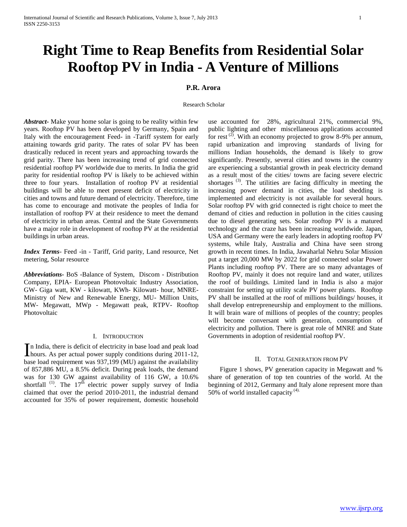# **Right Time to Reap Benefits from Residential Solar Rooftop PV in India - A Venture of Millions**

## **P.R. Arora**

#### Research Scholar

*Abstract***-** Make your home solar is going to be reality within few years. Rooftop PV has been developed by Germany, Spain and Italy with the encouragement Feed- in -Tariff system for early attaining towards grid parity. The rates of solar PV has been drastically reduced in recent years and approaching towards the grid parity. There has been increasing trend of grid connected residential rooftop PV worldwide due to merits. In India the grid parity for residential rooftop PV is likely to be achieved within three to four years. Installation of rooftop PV at residential buildings will be able to meet present deficit of electricity in cities and towns and future demand of electricity. Therefore, time has come to encourage and motivate the peoples of India for installation of rooftop PV at their residence to meet the demand of electricity in urban areas. Central and the State Governments have a major role in development of rooftop PV at the residential buildings in urban areas.

*Index Terms*- Feed -in - Tariff, Grid parity, Land resource, Net metering, Solar resource

*Abbreviations-* BoS -Balance of System, Discom - Distribution Company, EPIA- European Photovoltaic Industry Association, GW- Giga watt, KW - kilowatt, KWh- Kilowatt- hour, MNRE-Ministry of New and Renewable Energy, MU- Million Units, MW- Megawatt, MWp - Megawatt peak, RTPV- Rooftop Photovoltaic

#### I. INTRODUCTION

n India, there is deficit of electricity in base load and peak load In India, there is deficit of electricity in base load and peak load hours. As per actual power supply conditions during 2011-12, base load requirement was 937,199 (MU) against the availability of 857,886 MU, a 8.5% deficit. During peak loads, the demand was for 130 GW against availability of 116 GW, a 10.6% shortfall  $(1)$ . The  $17<sup>th</sup>$  electric power supply survey of India claimed that over the period 2010-2011, the industrial demand accounted for 35% of power requirement, domestic household

use accounted for 28%, agricultural 21%, commercial 9%, public lighting and other miscellaneous applications accounted for rest<sup>(2)</sup>. With an economy projected to grow 8-9% per annum, rapid urbanization and improving standards of living for millions Indian households, the demand is likely to grow significantly. Presently, several cities and towns in the country are experiencing a substantial growth in peak electricity demand as a result most of the cities/ towns are facing severe electric shortages<sup>(3)</sup>. The utilities are facing difficulty in meeting the increasing power demand in cities, the load shedding is implemented and electricity is not available for several hours. Solar rooftop PV with grid connected is right choice to meet the demand of cities and reduction in pollution in the cities causing due to diesel generating sets. Solar rooftop PV is a matured technology and the craze has been increasing worldwide. Japan, USA and Germany were the early leaders in adopting rooftop PV systems, while Italy, Australia and China have seen strong growth in recent times. In India, Jawaharlal Nehru Solar Mission put a target 20,000 MW by 2022 for grid connected solar Power Plants including rooftop PV. There are so many advantages of Rooftop PV, mainly it does not require land and water, utilizes the roof of buildings. Limited land in India is also a major constraint for setting up utility scale PV power plants. Rooftop PV shall be installed at the roof of millions buildings/ houses, it shall develop entrepreneurship and employment to the millions. It will brain ware of millions of peoples of the country; peoples will become conversant with generation, consumption of electricity and pollution. There is great role of MNRE and State Governments in adoption of residential rooftop PV.

#### II. TOTAL GENERATION FROM PV

 Figure 1 shows, PV generation capacity in Megawatt and % share of generation of top ten countries of the world. At the beginning of 2012, Germany and Italy alone represent more than 50% of world installed capacity  $(4)$ .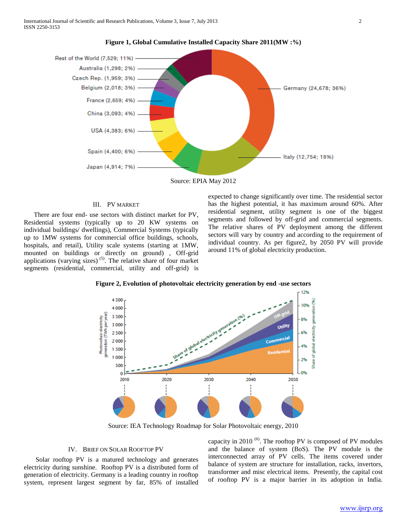

#### **Figure 1, Global Cumulative Installed Capacity Share 2011(MW :%)**

Source: EPIA May 2012

## III. PV MARKET

 There are four end- use sectors with distinct market for PV, Residential systems (typically up to 20 KW systems on individual buildings/ dwellings), Commercial Systems (typically up to 1MW systems for commercial office buildings, schools, hospitals, and retail), Utility scale systems (starting at 1MW, mounted on buildings or directly on ground) , Off-grid applications (varying sizes)<sup> $(5)$ </sup>. The relative share of four market segments (residential, commercial, utility and off-grid) is

expected to change significantly over time. The residential sector has the highest potential, it has maximum around 60%. After residential segment, utility segment is one of the biggest segments and followed by off-grid and commercial segments. The relative shares of PV deployment among the different sectors will vary by country and according to the requirement of individual country. As per figure2, by 2050 PV will provide around 11% of global electricity production.



**Figure 2, Evolution of photovoltaic electricity generation by end -use sectors**

Source: IEA Technology Roadmap for Solar Photovoltaic energy, 2010

#### IV. BRIEF ON SOLAR ROOFTOP PV

 Solar rooftop PV is a matured technology and generates electricity during sunshine. Rooftop PV is a distributed form of generation of electricity. Germany is a leading country in rooftop system, represent largest segment by far, 85% of installed

capacity in 2010  $(6)$ . The rooftop PV is composed of PV modules and the balance of system (BoS). The PV module is the interconnected array of PV cells. The items covered under balance of system are structure for installation, racks, invertors, transformer and misc electrical items. Presently, the capital cost of rooftop PV is a major barrier in its adoption in India.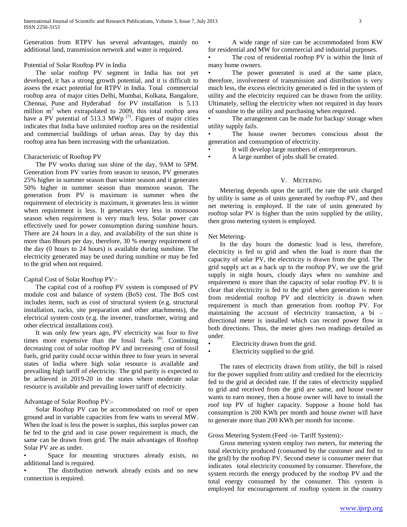Generation from RTPV has several advantages, mainly no additional land, transmission network and water is required.

## Potential of Solar Rooftop PV in India

 The solar rooftop PV segment in India has not yet developed, it has a strong growth potential, and it is difficult to assess the exact potential for RTPV in India. Total commercial rooftop area of major cities Delhi, Mumbai, Kolkata, Bangalore, Chennai, Pune and Hyderabad for PV installation is 5.13 million  $m<sup>2</sup>$  when extrapolated to 2009, this total rooftop area have a PV potential of 513.3 MWp  $(7)$ . Figures of major cities indicates that India have unlimited rooftop area on the residential and commercial buildings of urban areas. Day by day this rooftop area has been increasing with the urbanization.

## Characteristic of Rooftop PV

 The PV works during sun shine of the day, 9AM to 5PM. Generation from PV varies from season to season, PV generates 25% higher in summer season than winter season and it generates 50% higher in summer season than monsoon season. The generation from PV is maximum in summer when the requirement of electricity is maximum, it generates less in winter when requirement is less. It generates very less in monsoon season when requirement is very much less. Solar power can effectively used for power consumption during sunshine hours. There are 24 hours in a day, and availability of the sun shine is more than 8hours per day, therefore, 30 % energy requirement of the day (0 hours to 24 hours) is available during sunshine. The electricity generated may be used during sunshine or may be fed to the grid when not required.

## Capital Cost of Solar Rooftop PV:-

 The capital cost of a rooftop PV system is composed of PV module cost and balance of system (BoS) cost. The BoS cost includes items, such as cost of structural system (e.g. structural installation, racks, site preparation and other attachments), the electrical system costs (e.g. the inverter, transformer, wiring and other electrical installations cost).

 It was only few years ago, PV electricity was four to five times more expensive than the fossil fuels  $(8)$ . Continuing decreasing cost of solar rooftop PV and increasing cost of fossil fuels, grid parity could occur within three to four years in several states of India where high solar resource is available and prevailing high tariff of electricity. The grid parity is expected to be achieved in 2019-20 in the states where moderate solar resource is available and prevailing lower tariff of electricity.

## Advantage of Solar Rooftop PV:-

 Solar Rooftop PV can be accommodated on roof or open ground and in variable capacities from few watts to several MW. When the load is less the power is surplus, this surplus power can be fed to the grid and in case power requirement is much, the same can be drawn from grid. The main advantages of Rooftop Solar PV are as under.

Space for mounting structures already exists, no additional land is required.

The distribution network already exists and no new connection is required.

• A wide range of size can be accommodated from KW for residential and MW for commercial and industrial purposes.

The cost of residential rooftop PV is within the limit of many home owners.

The power generated is used at the same place, therefore, involvement of transmission and distribution is very much less, the excess electricity generated is fed in the system of utility and the electricity required can be drawn from the utility. Ultimately, selling the electricity when not required in day hours of sunshine to the utility and purchasing when required.

The arrangement can be made for backup/ storage when utility supply fails.

The house owner becomes conscious about the generation and consumption of electricity.

• It will develop large numbers of entrepreneurs.

• A large number of jobs shall be created.

## V. METERING

 Metering depends upon the tariff, the rate the unit charged by utility is same as of units generated by rooftop PV, and then net metering is employed. If the rate of units generated by rooftop solar PV is higher than the units supplied by the utility, then gross metering system is employed.

## Net Metering-

 In the day hours the domestic load is less, therefore, electricity is fed to grid and when the load is more than the capacity of solar PV, the electricity is drawn from the grid. The grid supply act as a back up to the rooftop PV, we use the grid supply in night hours, cloudy days when no sunshine and requirement is more than the capacity of solar rooftop PV. It is clear that electricity is fed to the grid when generation is more from residential rooftop PV and electricity is drawn when requirement is much than generation from rooftop PV. For maintaining the account of electricity transaction, a bi – directional meter is installed which can record power flow in both directions. Thus, the meter gives two readings detailed as under.

- Electricity drawn from the grid.
- Electricity supplied to the grid.

 The rates of electricity drawn from utility, the bill is raised for the power supplied from utility and credited for the electricity fed to the grid at decided rate. If the rates of electricity supplied to grid and received from the grid are same, and house owner wants to earn money, then a house owner will have to install the roof top PV of higher capacity. Suppose a house hold has consumption is 200 KWh per month and house owner will have to generate more than 200 KWh per month for income.

#### Gross Metering System (Feed -in- Tariff System):-

 Gross metering system employ two meters, for metering the total electricity produced (consumed by the customer and fed to the grid) by the rooftop PV. Second meter is consumer meter that indicates total electricity consumed by consumer. Therefore, the system records the energy produced by the rooftop PV and the total energy consumed by the consumer. This system is employed for encouragement of rooftop system in the country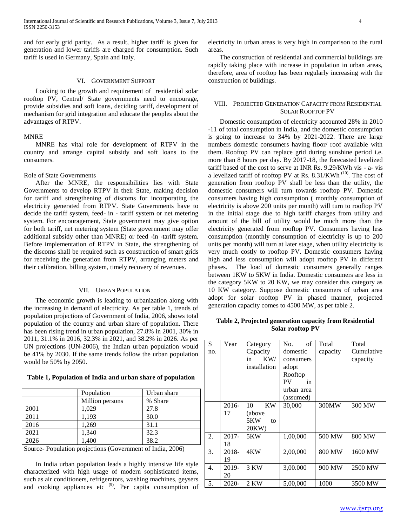and for early grid parity. As a result, higher tariff is given for generation and lower tariffs are charged for consumption. Such tariff is used in Germany, Spain and Italy.

## VI. GOVERNMENT SUPPORT

 Looking to the growth and requirement of residential solar rooftop PV, Central/ State governments need to encourage, provide subsidies and soft loans, deciding tariff, development of mechanism for grid integration and educate the peoples about the advantages of RTPV.

#### MNRE

 MNRE has vital role for development of RTPV in the country and arrange capital subsidy and soft loans to the consumers.

#### Role of State Governments

 After the MNRE, the responsibilities lies with State Governments to develop RTPV in their State, making decision for tariff and strengthening of discoms for incorporating the electricity generated from RTPV. State Governments have to decide the tariff system, feed- in - tariff system or net metering system. For encouragement, State government may give option for both tariff, net metering system (State government may offer additional subsidy other than MNRE) or feed -in -tariff system. Before implementation of RTPV in State, the strengthening of the discoms shall be required such as construction of smart grids for receiving the generation from RTPV, arranging meters and their calibration, billing system, timely recovery of revenues.

#### VII. URBAN POPULATION

 The economic growth is leading to urbanization along with the increasing in demand of electricity. As per table 1, trends of population projections of Government of India, 2006, shows total population of the country and urban share of population. There has been rising trend in urban population, 27.8% in 2001, 30% in 2011, 31.1% in 2016, 32.3% in 2021, and 38.2% in 2026. As per UN projections (UN-2006), the Indian urban population would be 41% by 2030. If the same trends follow the urban population would be 50% by 2050.

**Table 1, Population of India and urban share of population**

|      | Population      | Urban share |  |
|------|-----------------|-------------|--|
|      | Million persons | % Share     |  |
| 2001 | 1,029           | 27.8        |  |
| 2011 | 1,193           | 30.0        |  |
| 2016 | 1,269           | 31.1        |  |
| 2021 | 1,340           | 32.3        |  |
| 2026 | 1.400           | 38.2        |  |

Source- Population projections (Government of India, 2006)

 In India urban population leads a highly intensive life style characterized with high usage of modern sophisticated items, such as air conditioners, refrigerators, washing machines, geysers and cooking appliances etc  $(9)$ . Per capita consumption of electricity in urban areas is very high in comparison to the rural areas.

 The construction of residential and commercial buildings are rapidly taking place with increase in population in urban areas, therefore, area of rooftop has been regularly increasing with the construction of buildings.

## VIII. PROJECTED GENERATION CAPACITY FROM RESIDENTIAL SOLAR ROOFTOP PV

 Domestic consumption of electricity accounted 28% in 2010 -11 of total consumption in India, and the domestic consumption is going to increase to 34% by 2021-2022. There are large numbers domestic consumers having floor/ roof available with them. Rooftop PV can replace grid during sunshine period i.e. more than 8 hours per day. By 2017-18, the forecasted levelized tariff based of the cost to serve at INR Rs. 9.29/KWh vis - a- vis a levelized tariff of rooftop PV at Rs.  $8.31/KWh$ <sup>(10)</sup>. The cost of generation from rooftop PV shall be less than the utility, the domestic consumers will turn towards rooftop PV. Domestic consumers having high consumption ( monthly consumption of electricity is above 200 units per month) will turn to rooftop PV in the initial stage due to high tariff charges from utility and amount of the bill of utility would be much more than the electricity generated from rooftop PV. Consumers having less consumption (monthly consumption of electricity is up to 200 units per month) will turn at later stage, when utility electricity is very much costly to rooftop PV. Domestic consumers having high and less consumption will adopt rooftop PV in different phases. The load of domestic consumers generally ranges between 1KW to 5KW in India. Domestic consumers are less in the category 5KW to 20 KW, we may consider this category as 10 KW category. Suppose domestic consumers of urban area adopt for solar rooftop PV in phased manner, projected generation capacity comes to 4500 MW, as per table 2.

| Table 2, Projected generation capacity from Residential |  |  |  |  |
|---------------------------------------------------------|--|--|--|--|
| Solar rooftop PV                                        |  |  |  |  |

| S   | Year     | Category        | of<br>No.  | Total    | Total      |
|-----|----------|-----------------|------------|----------|------------|
| no. |          | Capacity        | domestic   | capacity | Cumulative |
|     |          | KW/<br>in       | consumers  |          | capacity   |
|     |          | installation    | adopt      |          |            |
|     |          |                 | Rooftop    |          |            |
|     |          |                 | PV<br>in   |          |            |
|     |          |                 | urban area |          |            |
|     |          |                 | (assumed)  |          |            |
|     | 2016-    | <b>KW</b><br>10 | 30,000     | 300MW    | 300 MW     |
|     | 17       | (above          |            |          |            |
|     |          | 5KW<br>to       |            |          |            |
|     |          | 20KW)           |            |          |            |
| 2.  | $2017 -$ | 5KW             | 1,00,000   | 500 MW   | 800 MW     |
|     | 18       |                 |            |          |            |
| 3.  | 2018-    | 4KW             | 2,00,000   | 800 MW   | 1600 MW    |
|     | 19       |                 |            |          |            |
| 4.  | 2019-    | 3 KW            | 3,00.000   | 900 MW   | 2500 MW    |
|     | 20       |                 |            |          |            |
| 5.  | 2020-    | 2 KW            | 5,00,000   | 1000     | 3500 MW    |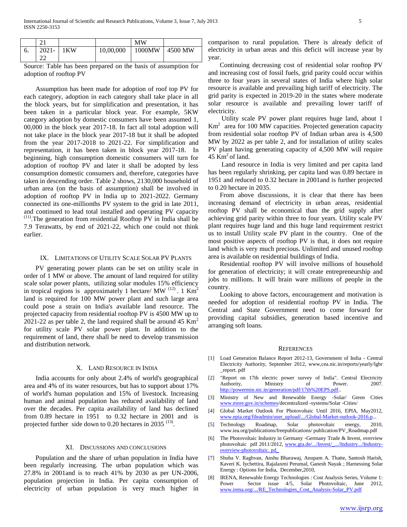|    | $^{\sim}$ |     |           | <b>MW</b> |         |
|----|-----------|-----|-----------|-----------|---------|
| o. | $2021 -$  | 1KW | 10,00,000 | 1000MW    | 4500 MW |
|    | $\sim$    |     |           |           |         |

Source: Table has been prepared on the basis of assumption for adoption of rooftop PV

 Assumption has been made for adoption of roof top PV for each category, adoption in each category shall take place in all the block years, but for simplification and presentation, it has been taken in a particular block year. For example, 5KW category adoption by domestic consumers have been assumed 1, 00,000 in the block year 2017-18. In fact all total adoption will not take place in the block year 2017-18 but it shall be adopted from the year 2017-2018 to 2021-22. For simplification and representation, it has been taken in block year 2017-18. In beginning, high consumption domestic consumers will turn for adoption of rooftop PV and later it shall be adopted by less consumption domestic consumers and, therefore, categories have taken in descending order. Table 2 shows, 2130,000 household of urban area (on the basis of assumption) shall be involved in adoption of rooftop PV in India up to 2021-2022. Germany connected its one-millionths PV system to the grid in late 2011, and continued to lead total installed and operating PV capacity (11).The generation from residential Rooftop PV in India shall be 7.9 Terawatts, by end of 2021-22, which one could not think earlier.

#### IX. LIMITATIONS OF UTILITY SCALE SOLAR PV PLANTS

 PV generating power plants can be set on utility scale in order of 1 MW or above. The amount of land required for utility scale solar power plants, utilizing solar modules 15% efficiency in tropical regions is approximately 1 hectare/ MW  $^{(12)}$ . 1 Km<sup>2</sup> land is required for 100 MW power plant and such large area could pose a strain on India's available land resource. The projected capacity from residential rooftop PV is 4500 MW up to 2021-22 as per table 2, the land required shall be around 45  $\text{Km}^2$ for utility scale PV solar power plant. In addition to the requirement of land, there shall be need to develop transmission and distribution network.

#### X. LAND RESOURCE IN INDIA

 India accounts for only about 2.4% of world's geographical area and 4% of its water resources, but has to support about 17% of world's human population and 15% of livestock. Increasing human and animal population has reduced availability of land over the decades. Per capita availability of land has declined from 0.89 hectare in 1951 to 0.32 hectare in 2001 and is projected further side down to 0.20 hectares in 2035  $(13)$ .

#### XI. DISCUSSIONS AND CONCLUSIONS

 Population and the share of urban population in India have been regularly increasing. The urban population which was 27.8% in 2001and is to reach 41% by 2030 as per UN-2006, population projection in India. Per capita consumption of electricity of urban population is very much higher in comparison to rural population. There is already deficit of electricity in urban areas and this deficit will increase year by year.

 Continuing decreasing cost of residential solar rooftop PV and increasing cost of fossil fuels, grid parity could occur within three to four years in several states of India where high solar resource is available and prevailing high tariff of electricity. The grid parity is expected in 2019-20 in the states where moderate solar resource is available and prevailing lower tariff of electricity.

 Utility scale PV power plant requires huge land, about 1  $Km<sup>2</sup>$  area for 100 MW capacities. Projected generation capacity from residential solar rooftop PV of Indian urban area is 4,500 MW by 2022 as per table 2, and for installation of utility scales PV plant having generating capacity of 4,500 MW will require 45  $Km<sup>2</sup>$  of land.

 Land resource in India is very limited and per capita land has been regularly shrinking, per capita land was 0.89 hectare in 1951 and reduced to 0.32 hectare in 2001and is further projected to 0.20 hectare in 2035.

 From above discussions, it is clear that there has been increasing demand of electricity in urban areas, residential rooftop PV shall be economical than the grid supply after achieving grid parity within three to four years. Utility scale PV plant requires huge land and this huge land requirement restrict us to install Utility scale PV plant in the country. One of the most positive aspects of rooftop PV is that, it does not require land which is very much precious. Unlimited and unused rooftop area is available on residential buildings of India.

 Residential rooftop PV will involve millions of household for generation of electricity; it will create entrepreneurship and jobs to millions. It will brain ware millions of people in the country.

 Looking to above factors, encouragement and motivation is needed for adoption of residential rooftop PV in India. The Central and State Government need to come forward for providing capital subsidies, generation based incentive and arranging soft loans.

#### **REFERENCES**

- [1] Load Generation Balance Report 2012-13, Government of India Central Electricity Authority, September 2012, www,cea.nic.in/reports/yearly/lgbr \_report. pdf
- [2] "Report on 17th electric power survey of India". Central Electricity Authority, Ministry of Power. 2007. [http://powermin.nic.in/generation/pdf/17th%20EPS.pdf.](http://powermin.nic.in/generation/pdf/17th%20EPS.pdf).
- [3] Ministry of New and Renewable Energy -Solar/ Green Cities [www.mnre.gov.in/schemes/d](http://www.mnre.gov.in/schemes)ecentralized -systems/Solar -Cities/
- [4] Global Market Outlook For Photovoltaic Until 2016, EPIA, May2012, [www.epia.org/fileadmin/user\\_upload/.../Global-Market-outlook-2016.p..](http://www.epia.org/fileadmin/user_upload/.../Global-Market-outlook-2016.p).
- [5] Technology Roadmap, Solar photovoltaic energy, 2010, www.iea.org/publications/freepublications/ publication/PV\_Roadmap.pdf
- [6] The Photovoltaic Industry in Germany -Germany Trade & Invest, overview photovoltaic pdf 2011/2012[, www.gta.de/.../Invest/\\_.../Industry.../Industry](http://www.gta.de/.../Invest/_.../Industry.../Industry-overview-photovoltaic.%20pd_)[overview-photovoltaic. pd\\_](http://www.gta.de/.../Invest/_.../Industry.../Industry-overview-photovoltaic.%20pd_)
- [7] Shuba V. Raghvan, Anshu Bharawaj, Anupam A. Thatte, Santosh Harish, Kaveri K. Iychettira, Rajalaxmi Perumal, Ganesh Nayak ; Harnessing Solar Energy : Options for India, December,2010,
- [8] IRENA, Renewable Energy Technologies : Cost Analysis Series, Volume 1: Power Sector issue  $4/5$ , Solar Photovoltaic, June 2012, [www.irena.org/.../RE\\_Technologies\\_Cost\\_Analysis-Solar\\_PV.pdf](http://www.irena.org/.../RE_Technologies_Cost_Analysis-Solar_PV.pd)